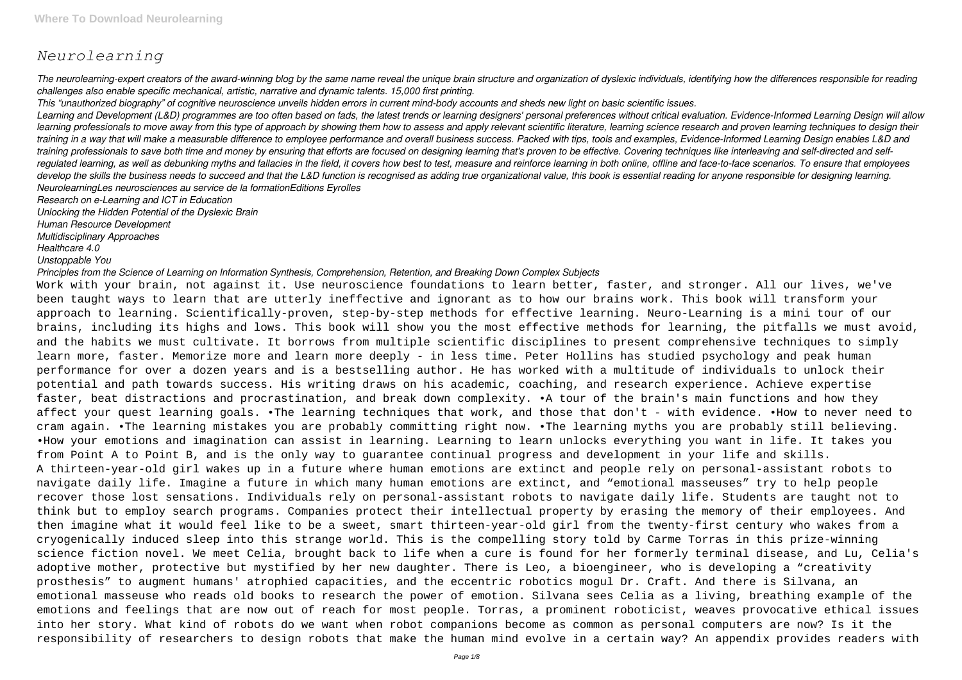# *Neurolearning*

*The neurolearning-expert creators of the award-winning blog by the same name reveal the unique brain structure and organization of dyslexic individuals, identifying how the differences responsible for reading challenges also enable specific mechanical, artistic, narrative and dynamic talents. 15,000 first printing.*

*This "unauthorized biography" of cognitive neuroscience unveils hidden errors in current mind-body accounts and sheds new light on basic scientific issues. Learning and Development (L&D) programmes are too often based on fads, the latest trends or learning designers' personal preferences without critical evaluation. Evidence-Informed Learning Design will allow learning professionals to move away from this type of approach by showing them how to assess and apply relevant scientific literature, learning science research and proven learning techniques to design their training in a way that will make a measurable difference to employee performance and overall business success. Packed with tips, tools and examples, Evidence-Informed Learning Design enables L&D and training professionals to save both time and money by ensuring that efforts are focused on designing learning that's proven to be effective. Covering techniques like interleaving and self-directed and selfregulated learning, as well as debunking myths and fallacies in the field, it covers how best to test, measure and reinforce learning in both online, offline and face-to-face scenarios. To ensure that employees develop the skills the business needs to succeed and that the L&D function is recognised as adding true organizational value, this book is essential reading for anyone responsible for designing learning. NeurolearningLes neurosciences au service de la formationEditions Eyrolles*

*Research on e-Learning and ICT in Education*

*Unlocking the Hidden Potential of the Dyslexic Brain*

*Human Resource Development*

*Multidisciplinary Approaches*

*Healthcare 4.0*

*Unstoppable You*

*Principles from the Science of Learning on Information Synthesis, Comprehension, Retention, and Breaking Down Complex Subjects*

Work with your brain, not against it. Use neuroscience foundations to learn better, faster, and stronger. All our lives, we've been taught ways to learn that are utterly ineffective and ignorant as to how our brains work. This book will transform your approach to learning. Scientifically-proven, step-by-step methods for effective learning. Neuro-Learning is a mini tour of our brains, including its highs and lows. This book will show you the most effective methods for learning, the pitfalls we must avoid, and the habits we must cultivate. It borrows from multiple scientific disciplines to present comprehensive techniques to simply learn more, faster. Memorize more and learn more deeply - in less time. Peter Hollins has studied psychology and peak human performance for over a dozen years and is a bestselling author. He has worked with a multitude of individuals to unlock their potential and path towards success. His writing draws on his academic, coaching, and research experience. Achieve expertise faster, beat distractions and procrastination, and break down complexity. •A tour of the brain's main functions and how they affect your quest learning goals. •The learning techniques that work, and those that don't - with evidence. •How to never need to cram again. •The learning mistakes you are probably committing right now. •The learning myths you are probably still believing. •How your emotions and imagination can assist in learning. Learning to learn unlocks everything you want in life. It takes you from Point A to Point B, and is the only way to guarantee continual progress and development in your life and skills. A thirteen-year-old girl wakes up in a future where human emotions are extinct and people rely on personal-assistant robots to navigate daily life. Imagine a future in which many human emotions are extinct, and "emotional masseuses" try to help people recover those lost sensations. Individuals rely on personal-assistant robots to navigate daily life. Students are taught not to think but to employ search programs. Companies protect their intellectual property by erasing the memory of their employees. And then imagine what it would feel like to be a sweet, smart thirteen-year-old girl from the twenty-first century who wakes from a cryogenically induced sleep into this strange world. This is the compelling story told by Carme Torras in this prize-winning science fiction novel. We meet Celia, brought back to life when a cure is found for her formerly terminal disease, and Lu, Celia's adoptive mother, protective but mystified by her new daughter. There is Leo, a bioengineer, who is developing a "creativity prosthesis" to augment humans' atrophied capacities, and the eccentric robotics mogul Dr. Craft. And there is Silvana, an emotional masseuse who reads old books to research the power of emotion. Silvana sees Celia as a living, breathing example of the emotions and feelings that are now out of reach for most people. Torras, a prominent roboticist, weaves provocative ethical issues into her story. What kind of robots do we want when robot companions become as common as personal computers are now? Is it the responsibility of researchers to design robots that make the human mind evolve in a certain way? An appendix provides readers with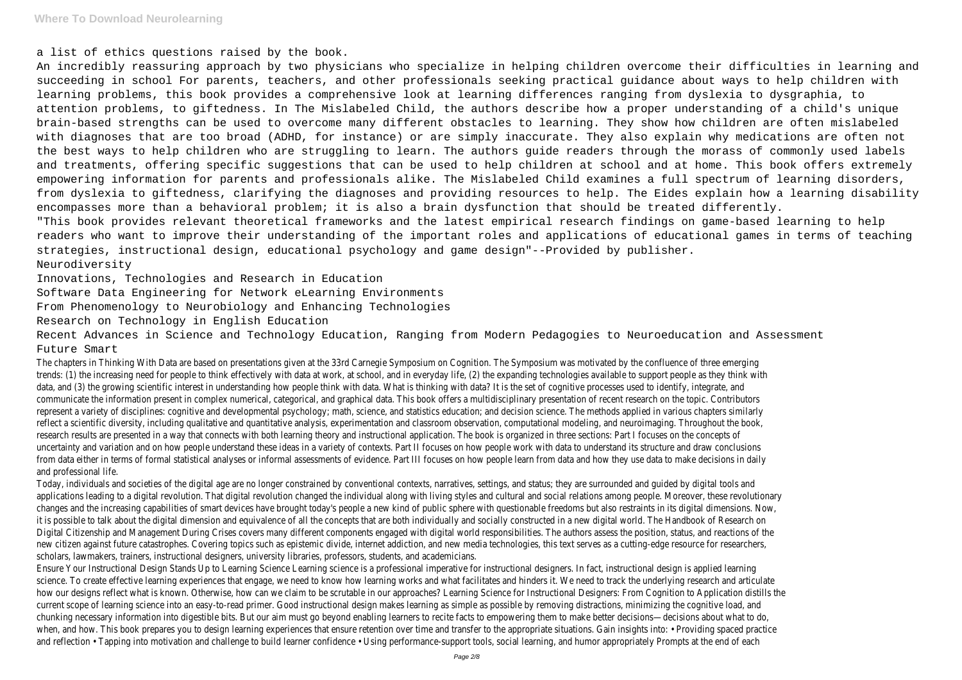a list of ethics questions raised by the book.

An incredibly reassuring approach by two physicians who specialize in helping children overcome their difficulties in learning and succeeding in school For parents, teachers, and other professionals seeking practical guidance about ways to help children with learning problems, this book provides a comprehensive look at learning differences ranging from dyslexia to dysgraphia, to attention problems, to giftedness. In The Mislabeled Child, the authors describe how a proper understanding of a child's unique brain-based strengths can be used to overcome many different obstacles to learning. They show how children are often mislabeled with diagnoses that are too broad (ADHD, for instance) or are simply inaccurate. They also explain why medications are often not the best ways to help children who are struggling to learn. The authors guide readers through the morass of commonly used labels and treatments, offering specific suggestions that can be used to help children at school and at home. This book offers extremely empowering information for parents and professionals alike. The Mislabeled Child examines a full spectrum of learning disorders, from dyslexia to giftedness, clarifying the diagnoses and providing resources to help. The Eides explain how a learning disability encompasses more than a behavioral problem; it is also a brain dysfunction that should be treated differently. "This book provides relevant theoretical frameworks and the latest empirical research findings on game-based learning to help readers who want to improve their understanding of the important roles and applications of educational games in terms of teaching strategies, instructional design, educational psychology and game design"--Provided by publisher. Neurodiversity

Innovations, Technologies and Research in Education

Software Data Engineering for Network eLearning Environments

From Phenomenology to Neurobiology and Enhancing Technologies

Research on Technology in English Education

Recent Advances in Science and Technology Education, Ranging from Modern Pedagogies to Neuroeducation and Assessment Future Smart

Ensure Your Instructional Design Stands Up to Learning Science Learning science is a professional imperative for instructional designers. In fact, instructional design is applied learning science. To create effective learning experiences that engage, we need to know how learning works and what facilitates and hinders it. We need to track the underlying research and articulate how our designs reflect what is known. Otherwise, how can we claim to be scrutable in our approaches? Learning Science for Instructional Designers: From Cognition to Application distills the current scope of learning science into an easy-to-read primer. Good instructional design makes learning as simple as possible by removing distractions, minimizing the cognitive load, and chunking necessary information into digestible bits. But our aim must go beyond enabling learners to recite facts to empowering them to make better decisions—decisions about what to do, when, and how. This book prepares you to design learning experiences that ensure retention over time and transfer to the appropriate situations. Gain insights into: • Providing spaced practice and reflection • Tapping into motivation and challenge to build learner confidence • Using performance-support tools, social learning, and humor appropriately Prompts at the end of each

The chapters in Thinking With Data are based on presentations given at the 33rd Carnegie Symposium on Cognition. The Symposium was motivated by the confluence of three emerging trends: (1) the increasing need for people to think effectively with data at work, at school, and in everyday life, (2) the expanding technologies available to support people as they think with data, and (3) the growing scientific interest in understanding how people think with data. What is thinking with data? It is the set of cognitive processes used to identify, integrate, and communicate the information present in complex numerical, categorical, and graphical data. This book offers a multidisciplinary presentation of recent research on the topic. Contributors represent a variety of disciplines: cognitive and developmental psychology; math, science, and statistics education; and decision science. The methods applied in various chapters similarly reflect a scientific diversity, including qualitative and quantitative analysis, experimentation and classroom observation, computational modeling, and neuroimaging. Throughout the book, research results are presented in a way that connects with both learning theory and instructional application. The book is organized in three sections: Part I focuses on the concepts of uncertainty and variation and on how people understand these ideas in a variety of contexts. Part II focuses on how people work with data to understand its structure and draw conclusions from data either in terms of formal statistical analyses or informal assessments of evidence. Part III focuses on how people learn from data and how they use data to make decisions in daily and professional life.

Today, individuals and societies of the digital age are no longer constrained by conventional contexts, narratives, settings, and status; they are surrounded and guided by digital tools and applications leading to a digital revolution. That digital revolution changed the individual along with living styles and cultural and social relations among people. Moreover, these revolutionary changes and the increasing capabilities of smart devices have brought today's people a new kind of public sphere with questionable freedoms but also restraints in its digital dimensions. Now, it is possible to talk about the digital dimension and equivalence of all the concepts that are both individually and socially constructed in a new digital world. The Handbook of Research on Digital Citizenship and Management During Crises covers many different components engaged with digital world responsibilities. The authors assess the position, status, and reactions of the new citizen against future catastrophes. Covering topics such as epistemic divide, internet addiction, and new media technologies, this text serves as a cutting-edge resource for researchers, scholars, lawmakers, trainers, instructional designers, university libraries, professors, students, and academicians.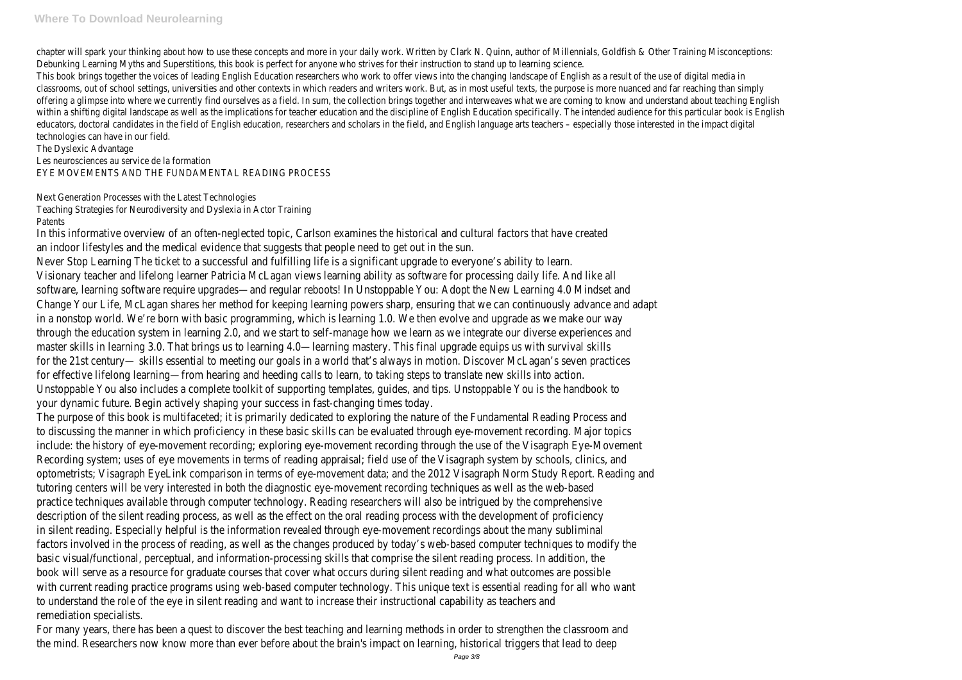chapter will spark your thinking about how to use these concepts and more in your daily work. Written by Clark N. Quinn, author of Millennials, Goldfish & Other Training Misconceptions: Debunking Learning Myths and Superstitions, this book is perfect for anyone who strives for their instruction to stand up to learning science.

This book brings together the voices of leading English Education researchers who work to offer views into the changing landscape of English as a result of the use of digital media in classrooms, out of school settings, universities and other contexts in which readers and writers work. But, as in most useful texts, the purpose is more nuanced and far reaching than simply offering a glimpse into where we currently find ourselves as a field. In sum, the collection brings together and interweaves what we are coming to know and understand about teaching English within a shifting digital landscape as well as the implications for teacher education and the discipline of English Education specifically. The intended audience for this particular book is English educators, doctoral candidates in the field of English education, researchers and scholars in the field, and English language arts teachers – especially those interested in the impact digital technologies can have in our field.

The Dyslexic Advantage Les neurosciences au service de la formation EYE MOVEMENTS AND THE FUNDAMENTAL READING PROCESS

Next Generation Processes with the Latest Technologies Teaching Strategies for Neurodiversity and Dyslexia in Actor Training Patents

In this informative overview of an often-neglected topic, Carlson examines the historical and cultural factors that have created an indoor lifestyles and the medical evidence that suggests that people need to get out in the sun. Never Stop Learning The ticket to a successful and fulfilling life is a significant upgrade to everyone's ability to learn. Visionary teacher and lifelong learner Patricia McLagan views learning ability as software for processing daily life. And like all software, learning software require upgrades—and regular reboots! In Unstoppable You: Adopt the New Learning 4.0 Mindset and Change Your Life, McLagan shares her method for keeping learning powers sharp, ensuring that we can continuously advance and adapt in a nonstop world. We're born with basic programming, which is learning 1.0. We then evolve and upgrade as we make our way through the education system in learning 2.0, and we start to self-manage how we learn as we integrate our diverse experiences and master skills in learning 3.0. That brings us to learning 4.0—learning mastery. This final upgrade equips us with survival skills for the 21st century— skills essential to meeting our goals in a world that's always in motion. Discover McLagan's seven practices for effective lifelong learning—from hearing and heeding calls to learn, to taking steps to translate new skills into action. Unstoppable You also includes a complete toolkit of supporting templates, guides, and tips. Unstoppable You is the handbook to your dynamic future. Begin actively shaping your success in fast-changing times today.

The purpose of this book is multifaceted; it is primarily dedicated to exploring the nature of the Fundamental Reading Process and to discussing the manner in which proficiency in these basic skills can be evaluated through eye-movement recording. Major topics include: the history of eye-movement recording; exploring eye-movement recording through the use of the Visagraph Eye-Movement Recording system; uses of eye movements in terms of reading appraisal; field use of the Visagraph system by schools, clinics, and optometrists; Visagraph EyeLink comparison in terms of eye-movement data; and the 2012 Visagraph Norm Study Report. Reading and tutoring centers will be very interested in both the diagnostic eye-movement recording techniques as well as the web-based practice techniques available through computer technology. Reading researchers will also be intrigued by the comprehensive description of the silent reading process, as well as the effect on the oral reading process with the development of proficiency in silent reading. Especially helpful is the information revealed through eye-movement recordings about the many subliminal factors involved in the process of reading, as well as the changes produced by today's web-based computer techniques to modify the basic visual/functional, perceptual, and information-processing skills that comprise the silent reading process. In addition, the book will serve as a resource for graduate courses that cover what occurs during silent reading and what outcomes are possible with current reading practice programs using web-based computer technology. This unique text is essential reading for all who want to understand the role of the eye in silent reading and want to increase their instructional capability as teachers and remediation specialists.

For many years, there has been a quest to discover the best teaching and learning methods in order to strengthen the classroom and the mind. Researchers now know more than ever before about the brain's impact on learning, historical triggers that lead to deep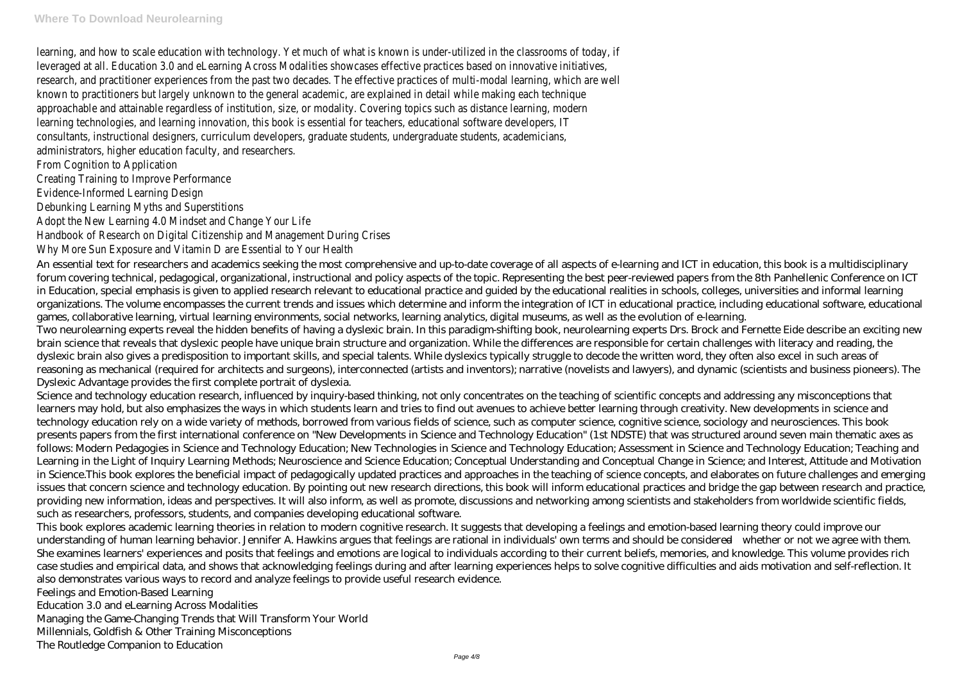learning, and how to scale education with technology. Yet much of what is known is under-utilized in the classrooms of today, if leveraged at all. Education 3.0 and eLearning Across Modalities showcases effective practices based on innovative initiatives, research, and practitioner experiences from the past two decades. The effective practices of multi-modal learning, which are well known to practitioners but largely unknown to the general academic, are explained in detail while making each technique approachable and attainable regardless of institution, size, or modality. Covering topics such as distance learning, modern learning technologies, and learning innovation, this book is essential for teachers, educational software developers, IT consultants, instructional designers, curriculum developers, graduate students, undergraduate students, academicians, administrators, higher education faculty, and researchers.

From Cognition to Application

Creating Training to Improve Performance

Evidence-Informed Learning Design

Debunking Learning Myths and Superstitions

Adopt the New Learning 4.0 Mindset and Change Your Life

Handbook of Research on Digital Citizenship and Management During Crises

Why More Sun Exposure and Vitamin D are Essential to Your Health

An essential text for researchers and academics seeking the most comprehensive and up-to-date coverage of all aspects of e-learning and ICT in education, this book is a multidisciplinary forum covering technical, pedagogical, organizational, instructional and policy aspects of the topic. Representing the best peer-reviewed papers from the 8th Panhellenic Conference on ICT in Education, special emphasis is given to applied research relevant to educational practice and guided by the educational realities in schools, colleges, universities and informal learning organizations. The volume encompasses the current trends and issues which determine and inform the integration of ICT in educational practice, including educational software, educational games, collaborative learning, virtual learning environments, social networks, learning analytics, digital museums, as well as the evolution of e-learning. Two neurolearning experts reveal the hidden benefits of having a dyslexic brain. In this paradigm-shifting book, neurolearning experts Drs. Brock and Fernette Eide describe an exciting new brain science that reveals that dyslexic people have unique brain structure and organization. While the differences are responsible for certain challenges with literacy and reading, the dyslexic brain also gives a predisposition to important skills, and special talents. While dyslexics typically struggle to decode the written word, they often also excel in such areas of reasoning as mechanical (required for architects and surgeons), interconnected (artists and inventors); narrative (novelists and lawyers), and dynamic (scientists and business pioneers). The Dyslexic Advantage provides the first complete portrait of dyslexia.

Science and technology education research, influenced by inquiry-based thinking, not only concentrates on the teaching of scientific concepts and addressing any misconceptions that learners may hold, but also emphasizes the ways in which students learn and tries to find out avenues to achieve better learning through creativity. New developments in science and technology education rely on a wide variety of methods, borrowed from various fields of science, such as computer science, cognitive science, sociology and neurosciences. This book presents papers from the first international conference on "New Developments in Science and Technology Education" (1st NDSTE) that was structured around seven main thematic axes as follows: Modern Pedagogies in Science and Technology Education; New Technologies in Science and Technology Education; Assessment in Science and Technology Education; Teaching and Learning in the Light of Inquiry Learning Methods; Neuroscience and Science Education; Conceptual Understanding and Conceptual Change in Science; and Interest, Attitude and Motivation in Science.This book explores the beneficial impact of pedagogically updated practices and approaches in the teaching of science concepts, and elaborates on future challenges and emerging issues that concern science and technology education. By pointing out new research directions, this book will inform educational practices and bridge the gap between research and practice, providing new information, ideas and perspectives. It will also inform, as well as promote, discussions and networking among scientists and stakeholders from worldwide scientific fields, such as researchers, professors, students, and companies developing educational software.

This book explores academic learning theories in relation to modern cognitive research. It suggests that developing a feelings and emotion-based learning theory could improve our understanding of human learning behavior. Jennifer A. Hawkins argues that feelings are rational in individuals' own terms and should be considered—whether or not we agree with them. She examines learners' experiences and posits that feelings and emotions are logical to individuals according to their current beliefs, memories, and knowledge. This volume provides rich case studies and empirical data, and shows that acknowledging feelings during and after learning experiences helps to solve cognitive difficulties and aids motivation and self-reflection. It also demonstrates various ways to record and analyze feelings to provide useful research evidence.

Feelings and Emotion-Based Learning

Education 3.0 and eLearning Across Modalities

Managing the Game-Changing Trends that Will Transform Your World

Millennials, Goldfish & Other Training Misconceptions

The Routledge Companion to Education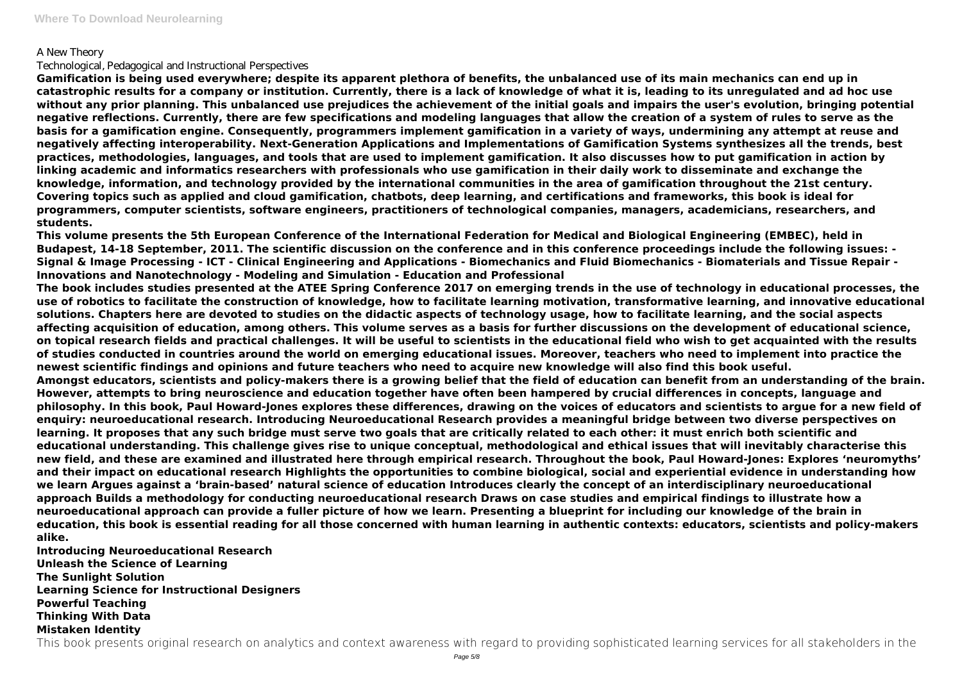### A New Theory

#### Technological, Pedagogical and Instructional Perspectives

**Gamification is being used everywhere; despite its apparent plethora of benefits, the unbalanced use of its main mechanics can end up in catastrophic results for a company or institution. Currently, there is a lack of knowledge of what it is, leading to its unregulated and ad hoc use without any prior planning. This unbalanced use prejudices the achievement of the initial goals and impairs the user's evolution, bringing potential negative reflections. Currently, there are few specifications and modeling languages that allow the creation of a system of rules to serve as the basis for a gamification engine. Consequently, programmers implement gamification in a variety of ways, undermining any attempt at reuse and negatively affecting interoperability. Next-Generation Applications and Implementations of Gamification Systems synthesizes all the trends, best practices, methodologies, languages, and tools that are used to implement gamification. It also discusses how to put gamification in action by linking academic and informatics researchers with professionals who use gamification in their daily work to disseminate and exchange the knowledge, information, and technology provided by the international communities in the area of gamification throughout the 21st century. Covering topics such as applied and cloud gamification, chatbots, deep learning, and certifications and frameworks, this book is ideal for programmers, computer scientists, software engineers, practitioners of technological companies, managers, academicians, researchers, and students.**

**This volume presents the 5th European Conference of the International Federation for Medical and Biological Engineering (EMBEC), held in Budapest, 14-18 September, 2011. The scientific discussion on the conference and in this conference proceedings include the following issues: - Signal & Image Processing - ICT - Clinical Engineering and Applications - Biomechanics and Fluid Biomechanics - Biomaterials and Tissue Repair - Innovations and Nanotechnology - Modeling and Simulation - Education and Professional**

**The book includes studies presented at the ATEE Spring Conference 2017 on emerging trends in the use of technology in educational processes, the use of robotics to facilitate the construction of knowledge, how to facilitate learning motivation, transformative learning, and innovative educational solutions. Chapters here are devoted to studies on the didactic aspects of technology usage, how to facilitate learning, and the social aspects affecting acquisition of education, among others. This volume serves as a basis for further discussions on the development of educational science, on topical research fields and practical challenges. It will be useful to scientists in the educational field who wish to get acquainted with the results of studies conducted in countries around the world on emerging educational issues. Moreover, teachers who need to implement into practice the newest scientific findings and opinions and future teachers who need to acquire new knowledge will also find this book useful. Amongst educators, scientists and policy-makers there is a growing belief that the field of education can benefit from an understanding of the brain. However, attempts to bring neuroscience and education together have often been hampered by crucial differences in concepts, language and philosophy. In this book, Paul Howard-Jones explores these differences, drawing on the voices of educators and scientists to argue for a new field of enquiry: neuroeducational research. Introducing Neuroeducational Research provides a meaningful bridge between two diverse perspectives on learning. It proposes that any such bridge must serve two goals that are critically related to each other: it must enrich both scientific and educational understanding. This challenge gives rise to unique conceptual, methodological and ethical issues that will inevitably characterise this new field, and these are examined and illustrated here through empirical research. Throughout the book, Paul Howard-Jones: Explores 'neuromyths' and their impact on educational research Highlights the opportunities to combine biological, social and experiential evidence in understanding how we learn Argues against a 'brain-based' natural science of education Introduces clearly the concept of an interdisciplinary neuroeducational approach Builds a methodology for conducting neuroeducational research Draws on case studies and empirical findings to illustrate how a neuroeducational approach can provide a fuller picture of how we learn. Presenting a blueprint for including our knowledge of the brain in education, this book is essential reading for all those concerned with human learning in authentic contexts: educators, scientists and policy-makers alike.**

**Introducing Neuroeducational Research Unleash the Science of Learning The Sunlight Solution Learning Science for Instructional Designers Powerful Teaching Thinking With Data Mistaken Identity**

This book presents original research on analytics and context awareness with regard to providing sophisticated learning services for all stakeholders in the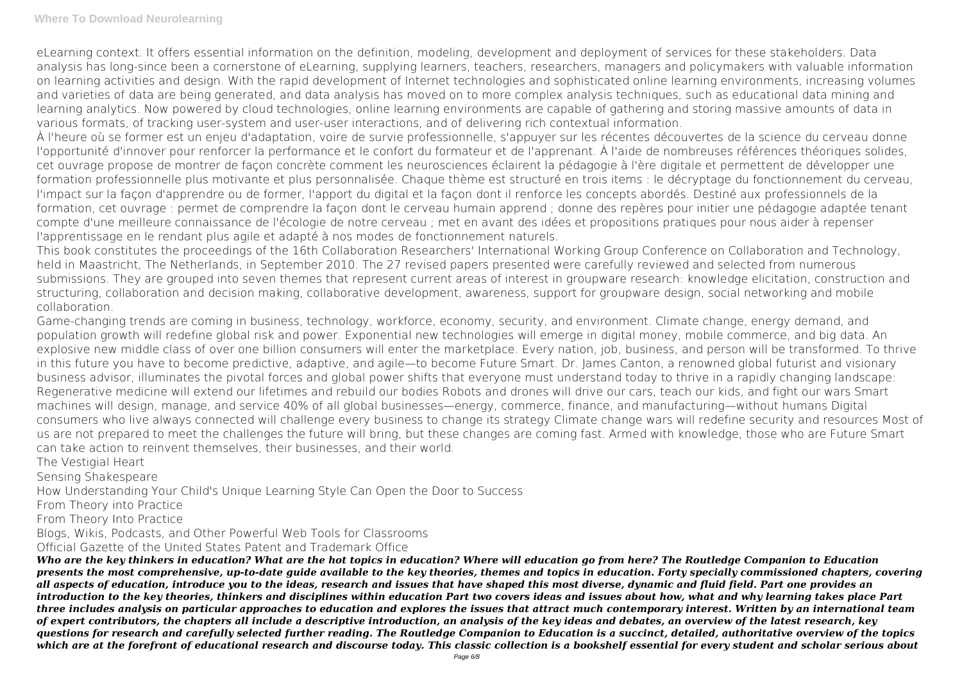eLearning context. It offers essential information on the definition, modeling, development and deployment of services for these stakeholders. Data analysis has long-since been a cornerstone of eLearning, supplying learners, teachers, researchers, managers and policymakers with valuable information on learning activities and design. With the rapid development of Internet technologies and sophisticated online learning environments, increasing volumes and varieties of data are being generated, and data analysis has moved on to more complex analysis techniques, such as educational data mining and learning analytics. Now powered by cloud technologies, online learning environments are capable of gathering and storing massive amounts of data in various formats, of tracking user-system and user-user interactions, and of delivering rich contextual information.

À l'heure où se former est un enjeu d'adaptation, voire de survie professionnelle, s'appuyer sur les récentes découvertes de la science du cerveau donne l'opportunité d'innover pour renforcer la performance et le confort du formateur et de l'apprenant. À l'aide de nombreuses références théoriques solides, cet ouvrage propose de montrer de façon concrète comment les neurosciences éclairent la pédagogie à l'ère digitale et permettent de développer une formation professionnelle plus motivante et plus personnalisée. Chaque thème est structuré en trois items : le décryptage du fonctionnement du cerveau, l'impact sur la façon d'apprendre ou de former, l'apport du digital et la façon dont il renforce les concepts abordés. Destiné aux professionnels de la formation, cet ouvrage : permet de comprendre la façon dont le cerveau humain apprend ; donne des repères pour initier une pédagogie adaptée tenant compte d'une meilleure connaissance de l'écologie de notre cerveau ; met en avant des idées et propositions pratiques pour nous aider à repenser l'apprentissage en le rendant plus agile et adapté à nos modes de fonctionnement naturels.

This book constitutes the proceedings of the 16th Collaboration Researchers' International Working Group Conference on Collaboration and Technology, held in Maastricht, The Netherlands, in September 2010. The 27 revised papers presented were carefully reviewed and selected from numerous submissions. They are grouped into seven themes that represent current areas of interest in groupware research: knowledge elicitation, construction and structuring, collaboration and decision making, collaborative development, awareness, support for groupware design, social networking and mobile collaboration.

Game-changing trends are coming in business, technology, workforce, economy, security, and environment. Climate change, energy demand, and population growth will redefine global risk and power. Exponential new technologies will emerge in digital money, mobile commerce, and big data. An explosive new middle class of over one billion consumers will enter the marketplace. Every nation, job, business, and person will be transformed. To thrive in this future you have to become predictive, adaptive, and agile—to become Future Smart. Dr. James Canton, a renowned global futurist and visionary business advisor, illuminates the pivotal forces and global power shifts that everyone must understand today to thrive in a rapidly changing landscape: Regenerative medicine will extend our lifetimes and rebuild our bodies Robots and drones will drive our cars, teach our kids, and fight our wars Smart machines will design, manage, and service 40% of all global businesses—energy, commerce, finance, and manufacturing—without humans Digital consumers who live always connected will challenge every business to change its strategy Climate change wars will redefine security and resources Most of us are not prepared to meet the challenges the future will bring, but these changes are coming fast. Armed with knowledge, those who are Future Smart can take action to reinvent themselves, their businesses, and their world.

The Vestigial Heart

Sensing Shakespeare

How Understanding Your Child's Unique Learning Style Can Open the Door to Success

From Theory into Practice

From Theory Into Practice

Blogs, Wikis, Podcasts, and Other Powerful Web Tools for Classrooms

Official Gazette of the United States Patent and Trademark Office

*Who are the key thinkers in education? What are the hot topics in education? Where will education go from here? The Routledge Companion to Education presents the most comprehensive, up-to-date guide available to the key theories, themes and topics in education. Forty specially commissioned chapters, covering all aspects of education, introduce you to the ideas, research and issues that have shaped this most diverse, dynamic and fluid field. Part one provides an introduction to the key theories, thinkers and disciplines within education Part two covers ideas and issues about how, what and why learning takes place Part three includes analysis on particular approaches to education and explores the issues that attract much contemporary interest. Written by an international team of expert contributors, the chapters all include a descriptive introduction, an analysis of the key ideas and debates, an overview of the latest research, key questions for research and carefully selected further reading. The Routledge Companion to Education is a succinct, detailed, authoritative overview of the topics which are at the forefront of educational research and discourse today. This classic collection is a bookshelf essential for every student and scholar serious about*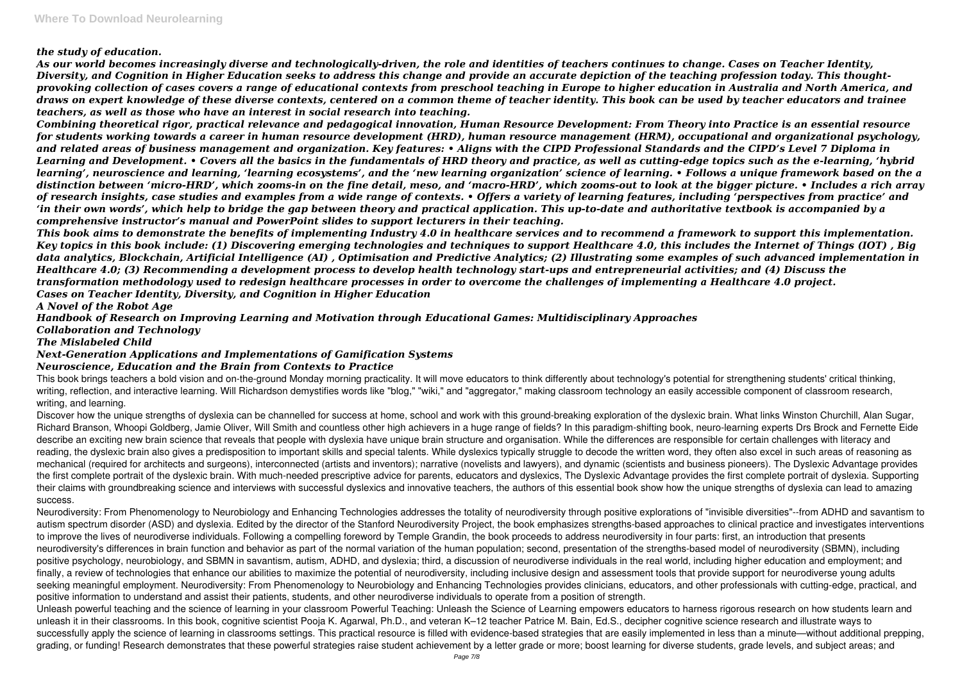#### *the study of education.*

*As our world becomes increasingly diverse and technologically-driven, the role and identities of teachers continues to change. Cases on Teacher Identity, Diversity, and Cognition in Higher Education seeks to address this change and provide an accurate depiction of the teaching profession today. This thoughtprovoking collection of cases covers a range of educational contexts from preschool teaching in Europe to higher education in Australia and North America, and draws on expert knowledge of these diverse contexts, centered on a common theme of teacher identity. This book can be used by teacher educators and trainee teachers, as well as those who have an interest in social research into teaching.*

*Combining theoretical rigor, practical relevance and pedagogical innovation, Human Resource Development: From Theory into Practice is an essential resource for students working towards a career in human resource development (HRD), human resource management (HRM), occupational and organizational psychology, and related areas of business management and organization. Key features: • Aligns with the CIPD Professional Standards and the CIPD's Level 7 Diploma in Learning and Development. • Covers all the basics in the fundamentals of HRD theory and practice, as well as cutting-edge topics such as the e-learning, 'hybrid learning', neuroscience and learning, 'learning ecosystems', and the 'new learning organization' science of learning. • Follows a unique framework based on the a distinction between 'micro-HRD', which zooms-in on the fine detail, meso, and 'macro-HRD', which zooms-out to look at the bigger picture. • Includes a rich array of research insights, case studies and examples from a wide range of contexts. • Offers a variety of learning features, including 'perspectives from practice' and 'in their own words', which help to bridge the gap between theory and practical application. This up-to-date and authoritative textbook is accompanied by a comprehensive instructor's manual and PowerPoint slides to support lecturers in their teaching.*

*This book aims to demonstrate the benefits of implementing Industry 4.0 in healthcare services and to recommend a framework to support this implementation. Key topics in this book include: (1) Discovering emerging technologies and techniques to support Healthcare 4.0, this includes the Internet of Things (IOT) , Big data analytics, Blockchain, Artificial Intelligence (AI) , Optimisation and Predictive Analytics; (2) Illustrating some examples of such advanced implementation in Healthcare 4.0; (3) Recommending a development process to develop health technology start-ups and entrepreneurial activities; and (4) Discuss the transformation methodology used to redesign healthcare processes in order to overcome the challenges of implementing a Healthcare 4.0 project. Cases on Teacher Identity, Diversity, and Cognition in Higher Education*

Discover how the unique strengths of dyslexia can be channelled for success at home, school and work with this ground-breaking exploration of the dyslexic brain. What links Winston Churchill, Alan Sugar, Richard Branson, Whoopi Goldberg, Jamie Oliver, Will Smith and countless other high achievers in a huge range of fields? In this paradigm-shifting book, neuro-learning experts Drs Brock and Fernette Eide describe an exciting new brain science that reveals that people with dyslexia have unique brain structure and organisation. While the differences are responsible for certain challenges with literacy and reading, the dyslexic brain also gives a predisposition to important skills and special talents. While dyslexics typically struggle to decode the written word, they often also excel in such areas of reasoning as mechanical (required for architects and surgeons), interconnected (artists and inventors); narrative (novelists and lawyers), and dynamic (scientists and business pioneers). The Dyslexic Advantage provides the first complete portrait of the dyslexic brain. With much-needed prescriptive advice for parents, educators and dyslexics, The Dyslexic Advantage provides the first complete portrait of dyslexia. Supporting their claims with groundbreaking science and interviews with successful dyslexics and innovative teachers, the authors of this essential book show how the unique strengths of dyslexia can lead to amazing success.

*A Novel of the Robot Age*

*Handbook of Research on Improving Learning and Motivation through Educational Games: Multidisciplinary Approaches Collaboration and Technology*

*The Mislabeled Child*

## *Next-Generation Applications and Implementations of Gamification Systems*

#### *Neuroscience, Education and the Brain from Contexts to Practice*

This book brings teachers a bold vision and on-the-ground Monday morning practicality. It will move educators to think differently about technology's potential for strengthening students' critical thinking, writing, reflection, and interactive learning. Will Richardson demystifies words like "blog," "wiki," and "aggregator," making classroom technology an easily accessible component of classroom research, writing, and learning.

Neurodiversity: From Phenomenology to Neurobiology and Enhancing Technologies addresses the totality of neurodiversity through positive explorations of "invisible diversities"--from ADHD and savantism to autism spectrum disorder (ASD) and dyslexia. Edited by the director of the Stanford Neurodiversity Project, the book emphasizes strengths-based approaches to clinical practice and investigates interventions to improve the lives of neurodiverse individuals. Following a compelling foreword by Temple Grandin, the book proceeds to address neurodiversity in four parts: first, an introduction that presents neurodiversity's differences in brain function and behavior as part of the normal variation of the human population; second, presentation of the strengths-based model of neurodiversity (SBMN), including positive psychology, neurobiology, and SBMN in savantism, autism, ADHD, and dyslexia; third, a discussion of neurodiverse individuals in the real world, including higher education and employment; and finally, a review of technologies that enhance our abilities to maximize the potential of neurodiversity, including inclusive design and assessment tools that provide support for neurodiverse young adults seeking meaningful employment. Neurodiversity: From Phenomenology to Neurobiology and Enhancing Technologies provides clinicians, educators, and other professionals with cutting-edge, practical, and positive information to understand and assist their patients, students, and other neurodiverse individuals to operate from a position of strength.

Unleash powerful teaching and the science of learning in your classroom Powerful Teaching: Unleash the Science of Learning empowers educators to harness rigorous research on how students learn and unleash it in their classrooms. In this book, cognitive scientist Pooja K. Agarwal, Ph.D., and veteran K–12 teacher Patrice M. Bain, Ed.S., decipher cognitive science research and illustrate ways to successfully apply the science of learning in classrooms settings. This practical resource is filled with evidence-based strategies that are easily implemented in less than a minute—without additional prepping, grading, or funding! Research demonstrates that these powerful strategies raise student achievement by a letter grade or more; boost learning for diverse students, grade levels, and subject areas; and